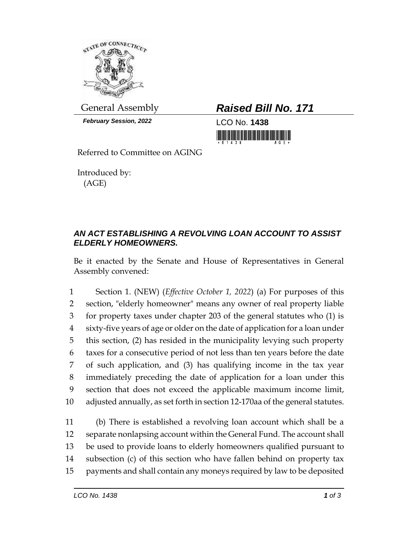

*February Session, 2022* LCO No. **1438**

General Assembly *Raised Bill No. 171*

<u>i in thi in ini ini manana mani</u>

Referred to Committee on AGING

Introduced by: (AGE)

## *AN ACT ESTABLISHING A REVOLVING LOAN ACCOUNT TO ASSIST ELDERLY HOMEOWNERS.*

Be it enacted by the Senate and House of Representatives in General Assembly convened:

 Section 1. (NEW) (*Effective October 1, 2022*) (a) For purposes of this section, "elderly homeowner" means any owner of real property liable for property taxes under chapter 203 of the general statutes who (1) is sixty-five years of age or older on the date of application for a loan under this section, (2) has resided in the municipality levying such property taxes for a consecutive period of not less than ten years before the date of such application, and (3) has qualifying income in the tax year immediately preceding the date of application for a loan under this section that does not exceed the applicable maximum income limit, adjusted annually, as set forth in section 12-170aa of the general statutes.

 (b) There is established a revolving loan account which shall be a separate nonlapsing account within the General Fund. The account shall be used to provide loans to elderly homeowners qualified pursuant to subsection (c) of this section who have fallen behind on property tax payments and shall contain any moneys required by law to be deposited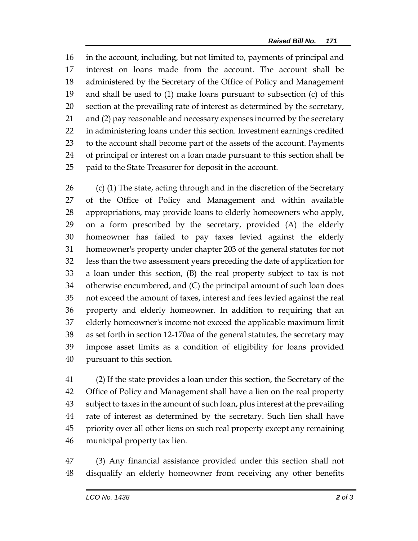in the account, including, but not limited to, payments of principal and interest on loans made from the account. The account shall be administered by the Secretary of the Office of Policy and Management and shall be used to (1) make loans pursuant to subsection (c) of this section at the prevailing rate of interest as determined by the secretary, 21 and (2) pay reasonable and necessary expenses incurred by the secretary in administering loans under this section. Investment earnings credited to the account shall become part of the assets of the account. Payments of principal or interest on a loan made pursuant to this section shall be paid to the State Treasurer for deposit in the account.

 (c) (1) The state, acting through and in the discretion of the Secretary of the Office of Policy and Management and within available appropriations, may provide loans to elderly homeowners who apply, on a form prescribed by the secretary, provided (A) the elderly homeowner has failed to pay taxes levied against the elderly homeowner's property under chapter 203 of the general statutes for not less than the two assessment years preceding the date of application for a loan under this section, (B) the real property subject to tax is not otherwise encumbered, and (C) the principal amount of such loan does not exceed the amount of taxes, interest and fees levied against the real property and elderly homeowner. In addition to requiring that an elderly homeowner's income not exceed the applicable maximum limit as set forth in section 12-170aa of the general statutes, the secretary may impose asset limits as a condition of eligibility for loans provided pursuant to this section.

 (2) If the state provides a loan under this section, the Secretary of the Office of Policy and Management shall have a lien on the real property subject to taxes in the amount of such loan, plus interest at the prevailing rate of interest as determined by the secretary. Such lien shall have priority over all other liens on such real property except any remaining municipal property tax lien.

 (3) Any financial assistance provided under this section shall not disqualify an elderly homeowner from receiving any other benefits